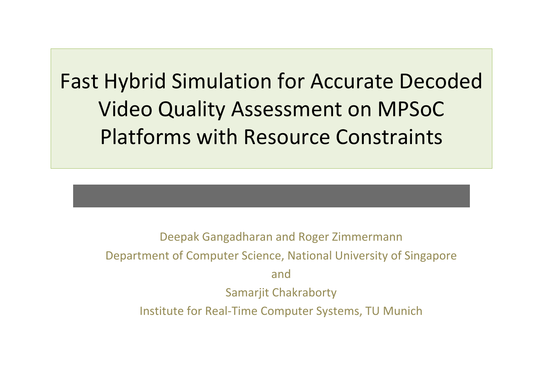Fast Hybrid Simulation for Accurate Decoded Video Quality Assessment on MPSoC Platforms with Resource Constraints

> Deepak Gangadharan and Roger Zimmermann Department of Computer Science, National University of Singapore andSamarjit Chakraborty Institute for Real‐Time Computer Systems, TU Munich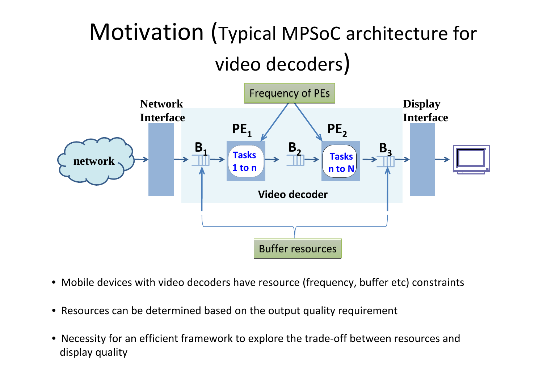#### Motivation (Typical MPSoC architecture for video decoders)



- Mobile devices with video decoders have resource (frequency, buffer etc) constraints
- Resources can be determined based on the output quality requirement
- • Necessity for an efficient framework to explore the trade‐off between resources and display quality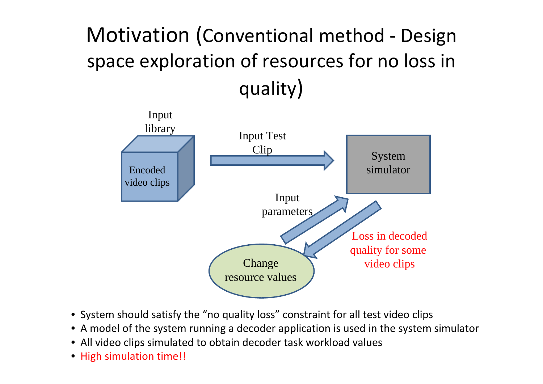#### Motivation (Conventional method ‐ Design space exploration of resources for no loss in quality)



- System should satisfy the "no quality loss" constraint for all test video clips
- A model of the system running <sup>a</sup> decoder application is used in the system simulator
- All video clips simulated to obtain decoder task workload values
- High simulation time!!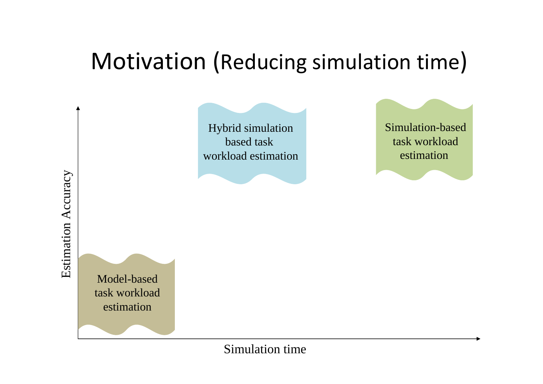#### Motivation (Reducing simulation time)

Hybrid simulation based task workload estimation Simulation-basedtask workloadestimation

Model-basedtask workloadestimation

#### Simulation time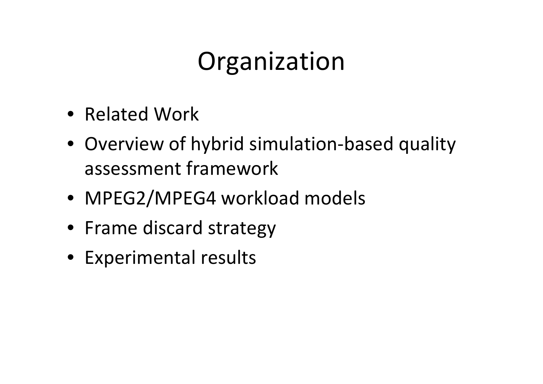## Organization

- Related Work
- Overview of hybrid simulation-based quality assessment framework
- MPEG2/MPEG4 workload models
- Frame discard strategy
- Experimental results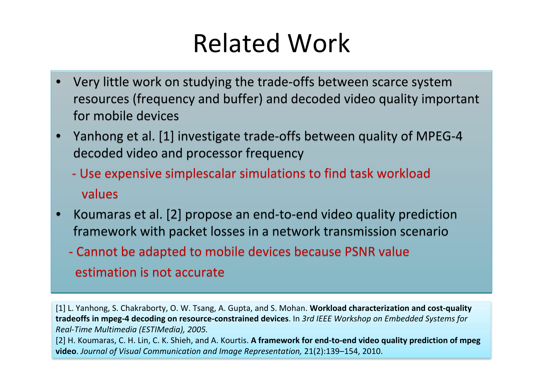#### Related Work

- • Very little work on studying the trade‐offs between scarce system Very little work on studying the trade‐offs between scarce system resources (frequency and buffer) and decoded video quality important resources (frequency and buffer) and decoded video quality important for mobile devices for mobile devices •
- • Yanhong et al. [1] investigate trade‐offs between quality of MPEG‐4 Yanhong et al. [1] investigate trade‐offs between quality of MPEG‐4 decoded video and processor frequency decoded video and processor frequency •
	- ‐ Use expensive simplescalar simulations to find task workload ‐ Use expensive simplescalar simulations to find task workload values
- • Koumaras et al. [2] propose an end‐to‐end video quality prediction Koumaras et al. [2] propose an end‐to‐end video quality prediction framework with packet losses in <sup>a</sup> network transmission scenario framework with packet losses in <sup>a</sup> network transmission scenario •
	- ‐ Cannot be adapted to mobile devices because PSNR value ‐ Cannot be adapted to mobile devices because PSNR value estimation is not accurate estimation is not accurate

[1] L. Yanhong, S. Chakraborty, O. W. Tsang, A. Gupta, and S. Mohan. **Workload characterization and cost‐quality** tradeoffs in mpeg-4 decoding on resource-constrained devices. In 3rd IEEE Workshop on Embedded Systems for *Real‐Time Multimedia (ESTIMedia), 2005.* [2] H. Koumaras, C. H. Lin, C. K. Shieh, and A. Kourtis. **A framework for end‐to‐end video quality prediction of mpeg video**. *Journal of Visual Communication and Image Representation,* 21(2):139–154, 2010.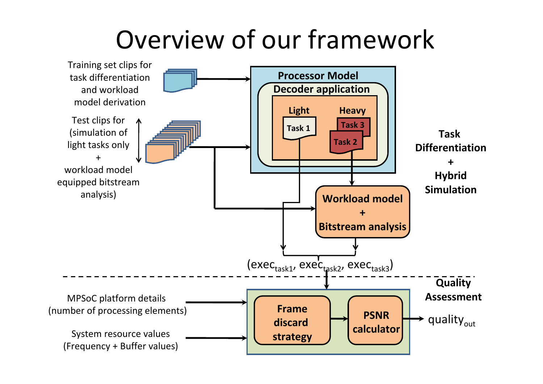#### Overview of our framework

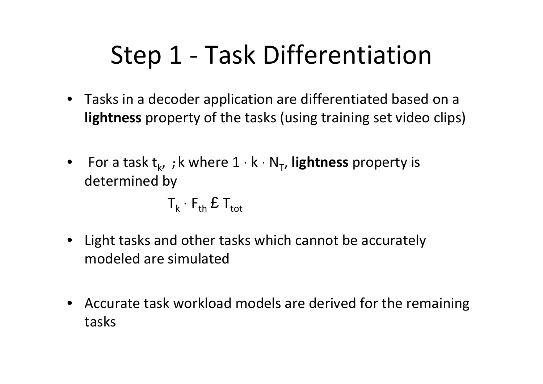## Step 1 ‐ Task Differentiation

- Tasks in <sup>a</sup> decoder application are differentiated based on <sup>a</sup> **lightness** property of the tasks (using training set video clips)
- •• For a task t<sub>k</sub>, ; k where 1 · k · N<sub>T</sub>, **lightness** property is determined by

$$
\mathsf{T}_{\mathsf{k}} \cdot \mathsf{F}_{\mathsf{th}} \, \pmb{\mathfrak{L}} \, \mathsf{T}_{\mathsf{tot}}
$$

- $\bullet$  Light tasks and other tasks which cannot be accurately modeled are simulated
- • Accurate task workload models are derived for the remaining tasks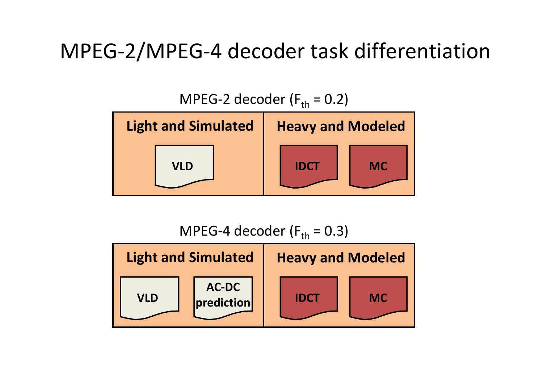#### MPEG‐2/MPEG‐4 decoder task differentiation



MPEG-4 decoder (F<sub>th</sub> = 0.3)

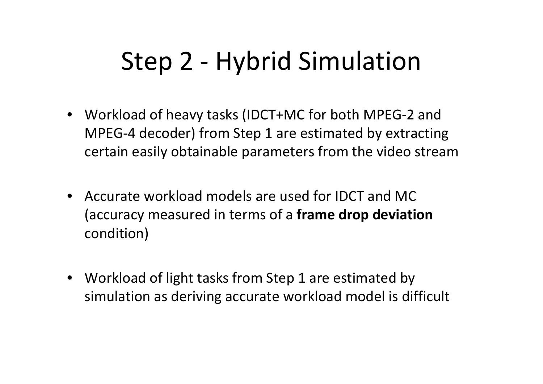## Step 2 ‐ Hybrid Simulation

- Workload of heavy tasks (IDCT+MC for both MPEG‐2 and MPEG‐4 decoder) from Step 1 are estimated by extracting certain easily obtainable parameters from the video stream
- • Accurate workload models are used for IDCT and MC(accuracy measured in terms of <sup>a</sup> **frame drop deviation** condition)
- • Workload of light tasks from Step 1 are estimated by simulation as deriving accurate workload model is difficult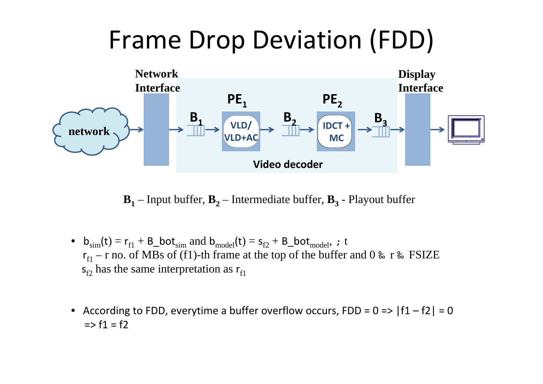#### Frame Drop Deviation (FDD)



 $\mathbf{B_1}$  – Input buffer,  $\mathbf{B_2}$  – Intermediate buffer,  $\mathbf{B_3}$  - Playout buffer

- $b_{sim}(t) = r_{f1} + B_0ot_{sim}$  and  $b_{model}(t) = s_{f2} + B_0ot_{model}$ , *t*  $r_{\rm f1}$  – r no. of MBs of (f1)-th frame at the top of the buffer and 0  $\rm{\AA}$  r  $\rm{\AA}$  FSIZE  $s_{f2}$  has the same interpretation as  $r_{f1}$
- According to FDD, everytime a buffer overflow occurs, FDD =  $0 \Rightarrow |f1 f2| = 0$ => f1 <sup>=</sup> f2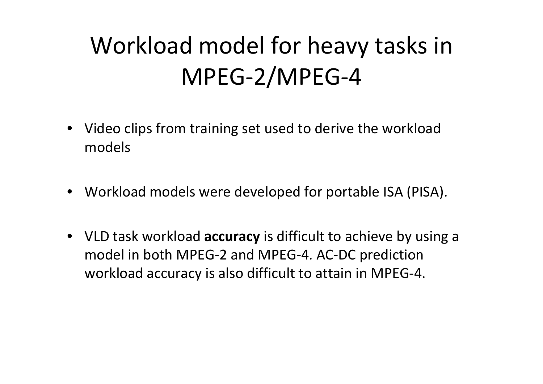#### Workload model for heavy tasks in MPEG‐2/MPEG‐4

- Video clips from training set used to derive the workload models
- Workload models were developed for portable ISA (PISA).
- VLD task workload **accuracy** is difficult to achieve by using <sup>a</sup> model in both MPEG‐2 and MPEG‐4. AC‐DC prediction workload accuracy is also difficult to attain in MPEG‐4.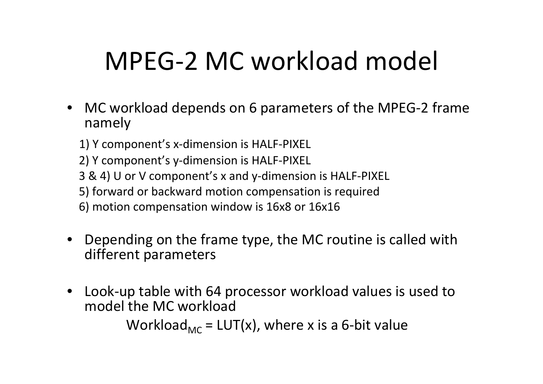## MPEG‐2 MC workload model

- • MC workload depends on 6 parameters of the MPEG‐2 frame namely
	- 1) Y component's <sup>x</sup>‐dimension is HALF‐PIXEL
	- 2) Y component's y‐dimension is HALF‐PIXEL
	- 3 & 4) U or V component's <sup>x</sup> and y‐dimension is HALF‐PIXEL
	- 5) forward or backward motion compensation is required
	- 6) motion compensation window is 16x8 or 16x16
- • Depending on the frame type, the MC routine is called with different parameters
- • Look‐up table with 64 processor workload values is used to model the MC workload Workload<sub>MC</sub> = LUT(x), where x is a 6-bit value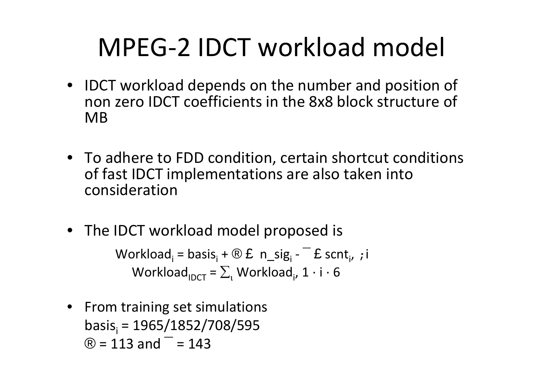## MPEG‐2 IDCT workload model

- IDCT workload depends on the number and position of non zero IDCT coefficients in the 8x8 block structure of MB
- To adhere to FDD condition, certain shortcut conditions of fast IDCT implementations are also taken into consideration
- The IDCT workload model proposed is

Workload<sub>i</sub> = basis<sub>i</sub> + ® £ n\_sig<sub>i</sub> - ¯ £ scnt<sub>i</sub>, ;i Workload $_{\mathsf{IDCT}}$  =  $\Sigma_{\text{\tiny{l}}}$  Workload $_{\mathsf{i}}$ , 1  $\cdot$  i  $\cdot$  6

• From training set simulations basis<sub>i</sub> = 1965/1852/708/595  $\textcircled{R}$  = 113 and  $^-$  = 143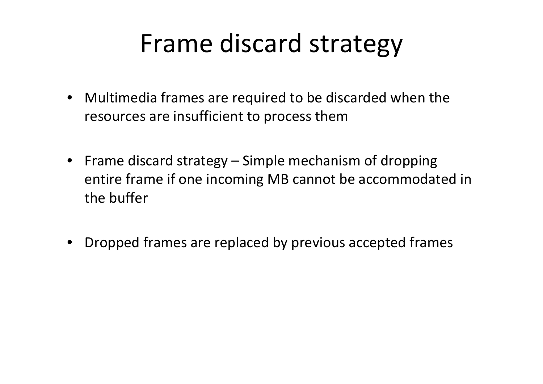#### Frame discard strategy

- Multimedia frames are required to be discarded when the resources are insufficient to process them
- Frame discard strategy Simple mechanism of dropping entire frame if one incoming MB cannot be accommodated in the buffer
- •Dropped frames are replaced by previous accepted frames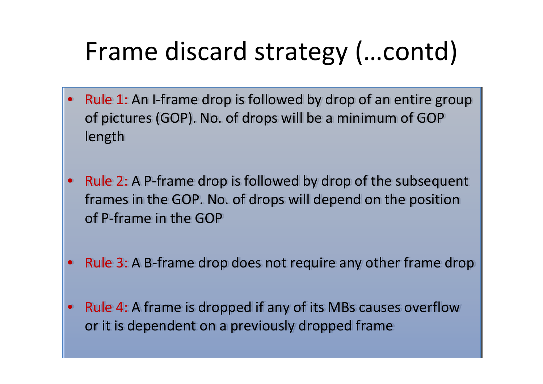# Frame discard strategy (…contd)

- •● Rule 1: An I-frame drop is followed by drop of an entire group of pictures (GOP). No. of drops will be <sup>a</sup> minimum of GOP of pictures (GOP). No. of drops will be <sup>a</sup> minimum of GOP length length •
- •● Rule 2: A P-frame drop is followed by drop of the subsequent frames in the GOP. No. of drops will depend on the position frames in the GOP. No. of drops will depend on the position of P‐frame in the GOP of P‐frame in the GOP  $\bullet$
- •● Rule 3: A B-frame drop does not require any other frame drop  $\bullet$
- •• Rule 4: A frame is dropped if any of its MBs causes overflow or it is dependent on <sup>a</sup> previously dropped frame or it is dependent on <sup>a</sup> previously dropped frame $\bullet$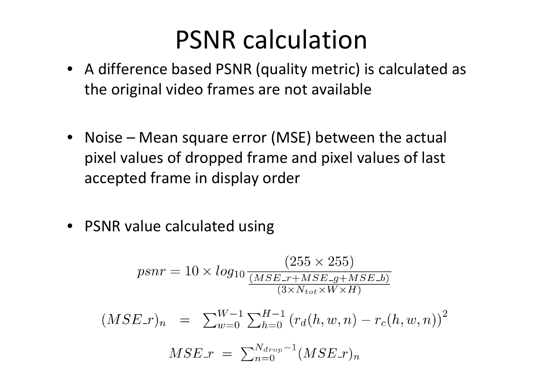#### PSNR calculation

- A difference based PSNR (quality metric) is calculated as the original video frames are not available
- • Noise – Mean square error (MSE) between the actual pixel values of dropped frame and pixel values of last accepted frame in display order
- PSNR value calculated using

$$
psnr = 10 \times log_{10} \frac{(255 \times 255)}{(MSE_{-r+MSE_{-g+MSE_{-b}})(3 \times N_{tot} \times W \times H)}
$$
  

$$
MSE_{-r} = \sum_{w=0}^{W-1} \sum_{h=0}^{H-1} (r_d(h, w, n) - r_c(h, w, n))^2
$$
  

$$
MSE_{-r} = \sum_{n=0}^{N_{drop}-1} (MSE_{-r})_n
$$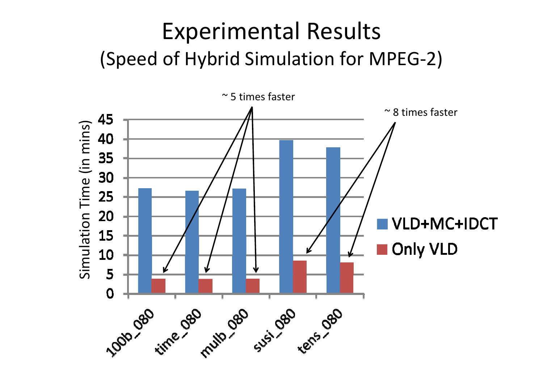#### Experimental Results (Speed of Hybrid Simulation for MPEG ‐2)

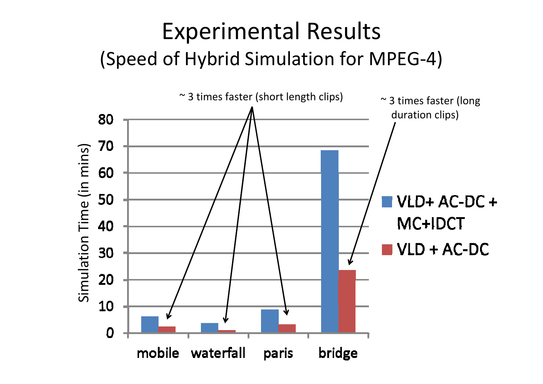#### Experimental Results (Speed of Hybrid Simulation for MPEG‐4)

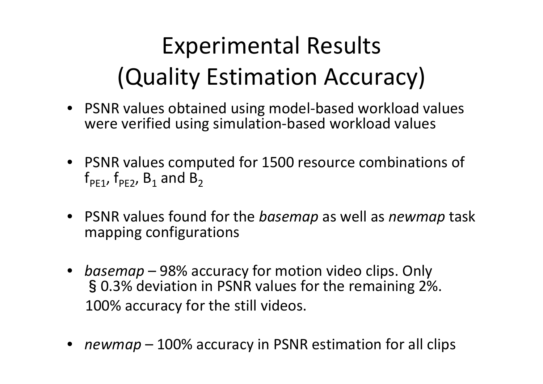## Experimental Results (Quality Estimation Accuracy)

- PSNR values obtained using model‐based workload values were verified using simulation‐based workload values
- PSNR values computed for 1500 resource combinations of  $\bm{\mathsf{f}}_{\texttt{PE1}}$ ,  $\bm{\mathsf{f}}_{\texttt{PE2}}$ ,  $\bm{\mathsf{B}}_{\texttt{1}}$  and  $\bm{\mathsf{B}}_{\texttt{2}}$
- PSNR values found for the *basemap* as well as *newmap* task mapping configurations
- *basemap* 98% accuracy for motion video clips. Only §0.3% deviation in PSNR values for the remaining 2%. 100% accuracy for the still videos.
- •*newmap* – 100% accuracy in PSNR estimation for all clips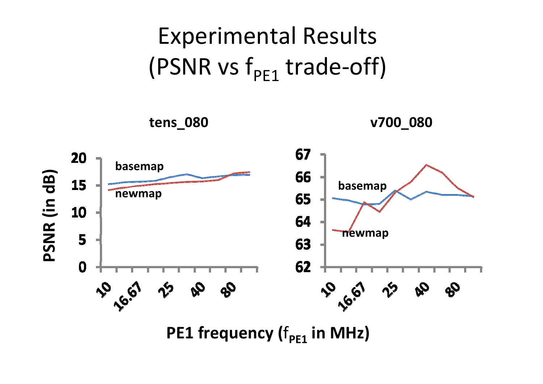



**PE1 frequency (**f**PE1 in MHz)**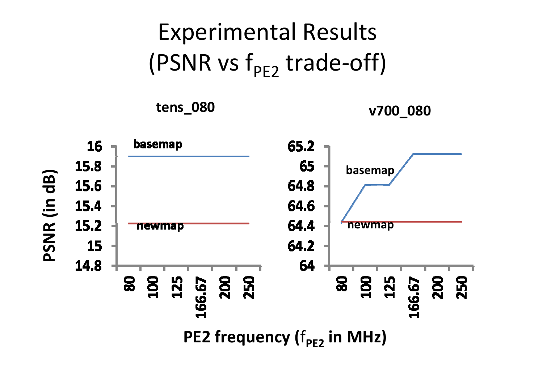#### Experimental Results (PSNR vs f<sub>PE2</sub> trade-off)

**tens\_080 v700\_080**

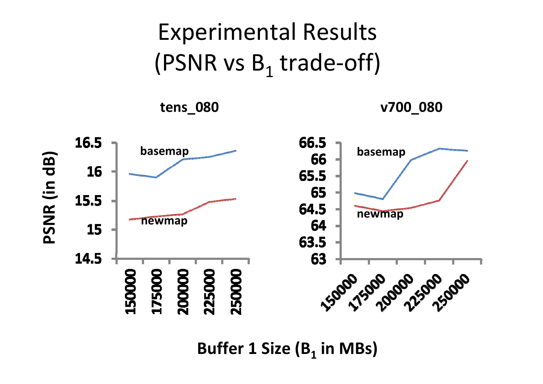#### Experimental Results (PSNR vs  $\mathsf{B}_{1}$  trade-off)





**Buffer 1 Size (B1 in MBs)**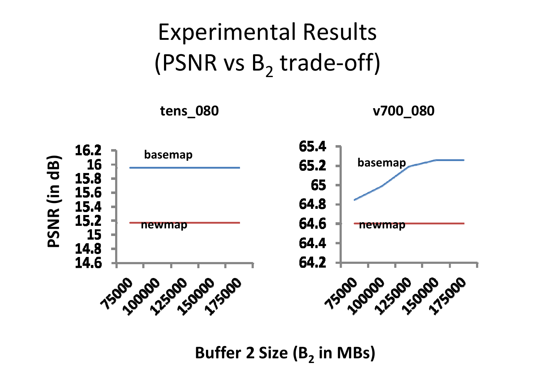#### Experimental Results (PSNR vs  $B_2$  trade-off)

**tens\_080 v700\_080**



**Buffer 2 Size (B2 in MBs)**